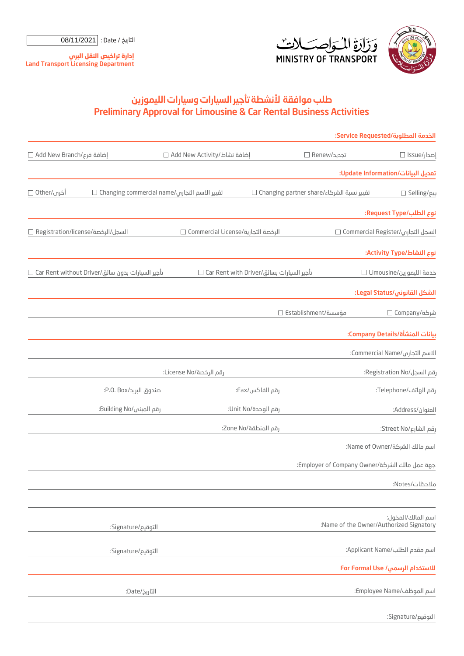

التوقيع/Signature:

التاريخ / Date : | 08/11/2021

**إدارة ت�اخيص النقل البري** Land Transport Licensing Department

## Preliminary Approval for Limousine & Car Rental Business Activities طلب موافقة لأنشطة تاجير السيارات وسيارات الليموزين

|                                                                |                                    |                                             |               | الخدمة المطلوبة/Service Requested:              |
|----------------------------------------------------------------|------------------------------------|---------------------------------------------|---------------|-------------------------------------------------|
| إضافة فرع/Add New Branch □                                     | ضافة نشاط/Add New Activity         |                                             | تجديد/Renew □ | إصدار/Issue □                                   |
|                                                                |                                    |                                             |               | تعديل البيانات/Update Information:              |
| تغيير الاسم التجارى/Changing commercial name □<br>أخرى/Other □ |                                    | تغيير نسبة الشركاء/Changing partner share □ |               | بیع/Selling □                                   |
|                                                                |                                    |                                             |               | نوع الطلب/Request Type:                         |
| السجل/الرخصة/Registration/license □                            | الرخصة التجارية/Commercial License |                                             |               | السجل التجاري/Commercial Register □             |
|                                                                |                                    |                                             |               | نوع النشاط/Activity Type:                       |
| تأجير السيارات بدون سائق/Car Rent without Driver $\square$     |                                    | تأجير السيارات بسائق/Car Rent with Driver □ |               | خدمة الليموزين/Limousine $\square$              |
|                                                                |                                    |                                             |               | الشكل القانوني/Legal Status:                    |
|                                                                |                                    | مؤسسة/Establishment □                       |               | شركة/Company                                    |
|                                                                |                                    |                                             |               | بيانات المنشأة/Company Details:                 |
|                                                                |                                    |                                             |               | الاسم التجارى/Commercial Name:                  |
| رقم الرخصة/License No:                                         |                                    |                                             |               | :Registration No/ختار                           |
| صندوق البريد/P.O. Box:                                         |                                    | رقم الفاكس/Fax:                             |               | رقم الهاتف/Telephone:                           |
| رقم المبنى/Building No:                                        |                                    | رقم الوحدة/Unit No:                         |               | العنوان/Address:                                |
|                                                                | رقم المنطقة/Zone No:               |                                             |               | رقم الشارع/Street No:                           |
|                                                                |                                    |                                             |               | اسم مالك الشركة/Name of Owner:                  |
|                                                                |                                    |                                             |               | :Employer of Company Owner/خبهة عمل مالك الشركة |
|                                                                |                                    |                                             |               | ملاحظات/Notes:                                  |
|                                                                |                                    |                                             |               | اسم المالك/المخول:                              |
| التوقيع/Signature:                                             |                                    |                                             |               | :Name of the Owner/Authorized Signatory         |
| التوقيع/Signature:                                             |                                    |                                             |               | اسم مقدم الطلب/Applicant Name:                  |
|                                                                |                                    |                                             |               | للاستخدام الرسمي/ For Formal Use                |
| التاريخ/Date:                                                  |                                    |                                             |               | اسم الموظف/Employee Name:                       |
|                                                                |                                    |                                             |               |                                                 |